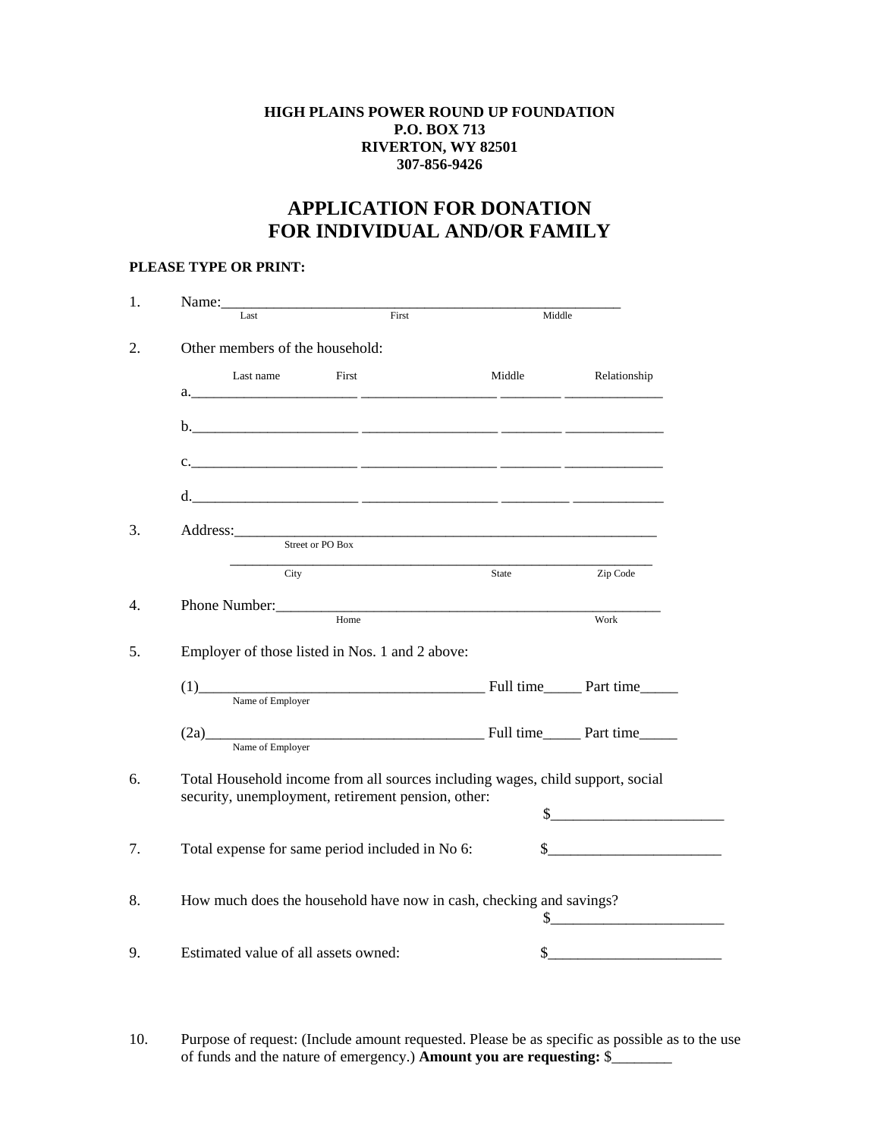## **HIGH PLAINS POWER ROUND UP FOUNDATION P.O. BOX 713 RIVERTON, WY 82501 307-856-9426**

## **APPLICATION FOR DONATION FOR INDIVIDUAL AND/OR FAMILY**

## **PLEASE TYPE OR PRINT:**

| Name:                                              |       |                                                                                |                                                                                                                                                                                                                                                                                                                                                                                                         |
|----------------------------------------------------|-------|--------------------------------------------------------------------------------|---------------------------------------------------------------------------------------------------------------------------------------------------------------------------------------------------------------------------------------------------------------------------------------------------------------------------------------------------------------------------------------------------------|
| Last                                               | First | Middle                                                                         |                                                                                                                                                                                                                                                                                                                                                                                                         |
| Other members of the household:                    |       |                                                                                |                                                                                                                                                                                                                                                                                                                                                                                                         |
| Last name                                          | First | Middle                                                                         | Relationship                                                                                                                                                                                                                                                                                                                                                                                            |
|                                                    |       |                                                                                |                                                                                                                                                                                                                                                                                                                                                                                                         |
|                                                    |       |                                                                                |                                                                                                                                                                                                                                                                                                                                                                                                         |
|                                                    |       |                                                                                |                                                                                                                                                                                                                                                                                                                                                                                                         |
|                                                    |       |                                                                                |                                                                                                                                                                                                                                                                                                                                                                                                         |
|                                                    |       |                                                                                |                                                                                                                                                                                                                                                                                                                                                                                                         |
| Address: Street or PO Box                          |       |                                                                                |                                                                                                                                                                                                                                                                                                                                                                                                         |
| City                                               |       | State                                                                          | Zip Code                                                                                                                                                                                                                                                                                                                                                                                                |
|                                                    |       |                                                                                |                                                                                                                                                                                                                                                                                                                                                                                                         |
|                                                    | Home  |                                                                                | Work                                                                                                                                                                                                                                                                                                                                                                                                    |
| Employer of those listed in Nos. 1 and 2 above:    |       |                                                                                |                                                                                                                                                                                                                                                                                                                                                                                                         |
|                                                    |       | (1) Name of Employer Full time Part time                                       |                                                                                                                                                                                                                                                                                                                                                                                                         |
|                                                    |       |                                                                                |                                                                                                                                                                                                                                                                                                                                                                                                         |
|                                                    |       | (2a) Part time                                                                 |                                                                                                                                                                                                                                                                                                                                                                                                         |
| Name of Employer                                   |       |                                                                                |                                                                                                                                                                                                                                                                                                                                                                                                         |
|                                                    |       | Total Household income from all sources including wages, child support, social |                                                                                                                                                                                                                                                                                                                                                                                                         |
| security, unemployment, retirement pension, other: |       |                                                                                | $\frac{\frac{1}{2} + \frac{1}{2} + \frac{1}{2} + \frac{1}{2} + \frac{1}{2} + \frac{1}{2} + \frac{1}{2} + \frac{1}{2} + \frac{1}{2} + \frac{1}{2} + \frac{1}{2} + \frac{1}{2} + \frac{1}{2} + \frac{1}{2} + \frac{1}{2} + \frac{1}{2} + \frac{1}{2} + \frac{1}{2} + \frac{1}{2} + \frac{1}{2} + \frac{1}{2} + \frac{1}{2} + \frac{1}{2} + \frac{1}{2} + \frac{1}{2} + \frac{1}{2} + \frac{1}{2} + \frac$ |
|                                                    |       |                                                                                |                                                                                                                                                                                                                                                                                                                                                                                                         |
|                                                    |       |                                                                                | $\begin{picture}(20,10) \put(0,0){\vector(1,0){100}} \put(15,0){\vector(1,0){100}} \put(15,0){\vector(1,0){100}} \put(15,0){\vector(1,0){100}} \put(15,0){\vector(1,0){100}} \put(15,0){\vector(1,0){100}} \put(15,0){\vector(1,0){100}} \put(15,0){\vector(1,0){100}} \put(15,0){\vector(1,0){100}} \put(15,0){\vector(1,0){100}} \put(15,0){\vector(1,0){100}} \$                                     |
| Total expense for same period included in No 6:    |       |                                                                                |                                                                                                                                                                                                                                                                                                                                                                                                         |
|                                                    |       |                                                                                |                                                                                                                                                                                                                                                                                                                                                                                                         |
|                                                    |       | How much does the household have now in cash, checking and savings?            |                                                                                                                                                                                                                                                                                                                                                                                                         |
|                                                    |       |                                                                                | $\frac{\frac{1}{2}^{1}}{\frac{1}{2}^{1}}$                                                                                                                                                                                                                                                                                                                                                               |

10. Purpose of request: (Include amount requested. Please be as specific as possible as to the use of funds and the nature of emergency.) **Amount you are requesting:** \$\_\_\_\_\_\_\_\_